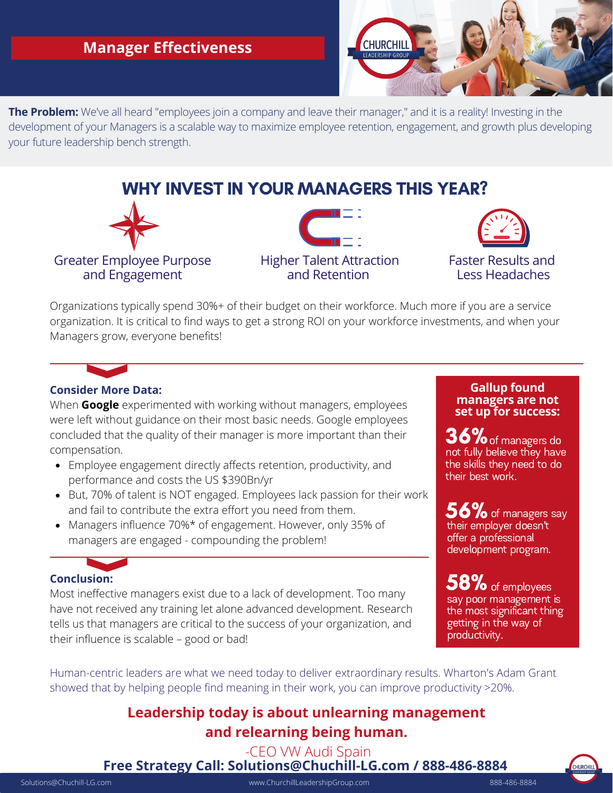## **Manager Effectiveness**



**The Problem:** We've all heard "employees join a company and leave their manager," and it is a reality! Investing in the development of your Managers is a scalable way to maximize employee retention, engagement, and growth plus developing your future leadership bench strength.

# WHY INVEST IN YOUR MANAGERS THIS YEAR?



and Engagement





Faster Results and Less Headaches

Organizations typically spend 30%+ of their budget on their workforce. Much more if you are a service organization. It is critical to find ways to get a strong ROI on your workforce investments, and when your Managers grow, everyone benefits!



When **Google** experimented with working without managers, employees were left without guidance on their most basic needs. Google employees concluded that the quality of their manager is more important than their compensation.

- Employee engagement directly affects retention, productivity, and performance and costs the US \$390Bn/yr
- But, 70% of talent is NOT engaged. Employees lack passion for their work and fail to contribute the extra effort you need from them.
- Managers influence 70%\* of engagement. However, only 35% of managers are engaged - compounding the problem!

### **Conclusion:**

Most ineffective managers exist due to a lack of development. Too many have not received any training let alone advanced development. Research tells us that managers are critical to the success of your organization, and their influence is scalable – good or bad!

#### **Gallup found managers are not set up for success:**

 $36\%$  of managers do not fully believe they have the skills they need to do their best work.

56% of managers say<br>their emplover doesn't their employer doesn't<br>offer a professional development program.

 $58\%$  of employees say poor management is the most significant thing getting in the way of productivity.

Human-centric leaders are what we need today to deliver extraordinary results. Wharton's Adam Grant showed that by helping people find meaning in their work, you can improve productivity >20%.

# **Leadership today is about unlearning management and relearning being human.**

-CEO VW Audi Spain

**Free Strategy Call: Solutions@Chuchill-LG.com / 888-486-8884**

Solutions@Chuchill-LG.com www.ChurchillLeadershipGroup.com 888-486-8884

.<br>Churchil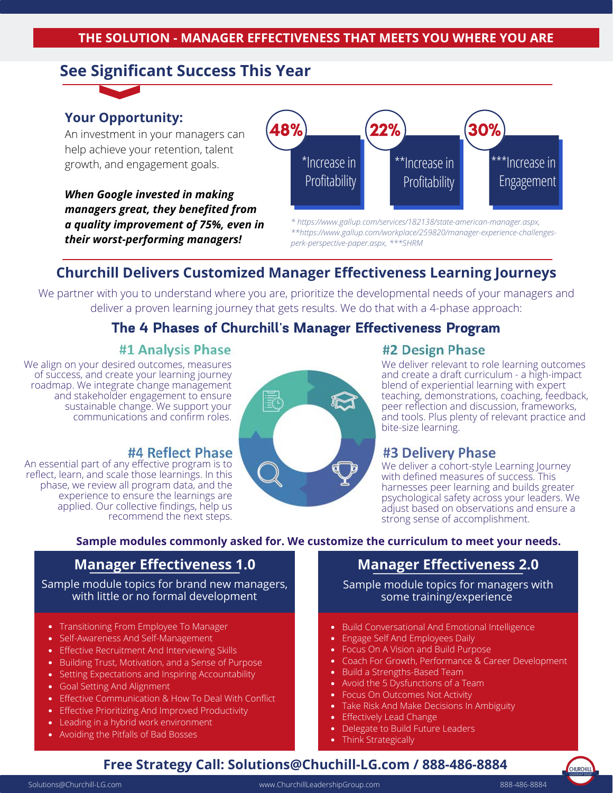# **See Significant Success This Year**

### **Your Opportunity:**

An investment in your managers can help achieve your retention, talent growth, and engagement goals.

*When Google invested in making managers great, they benefited from a quality improvement of 75%, even in their worst-performing managers!*



*\* https://www.gallup.com/services/182138/state-american-manager.aspx, \*\*https://www.gallup.com/workplace/259820/manager-experience-challengesperk-perspective-paper.aspx, \*\*\*SHRM*

# **Churchill Delivers Customized Manager Effectiveness Learning Journeys**

We partner with you to understand where you are, prioritize the developmental needs of your managers and deliver a proven learning journey that gets results. We do that with a 4-phase approach:

# The 4 Phases of Churchill's Manager Effectiveness Program

### #1 Analysis Phase

We align on your desired outcomes, measures of success, and create your learning journey roadmap. We integrate change management and stakeholder engagement to ensure sustainable change. We support your communications and confirm roles.

### #4 Reflect Phase

An essential part of any effective program is to reflect, learn, and scale those learnings. In this phase, we review all program data, and the experience to ensure the learnings are applied. Our collective findings, help us recommend the next steps.



### #2 Design Phase

We deliver relevant to role learning outcomes and create a draft curriculum - a high-impact blend of experiential learning with expert teaching, demonstrations, coaching, feedback, peer reflection and discussion, frameworks, and tools. Plus plenty of relevant practice and bite-size learning.

### #3 Delivery Phase

We deliver a cohort-style Learning Journey with defined measures of success. This harnesses peer learning and builds greater psychological safety across your leaders. We adjust based on observations and ensure a strong sense of accomplishment.

### **Sample modules commonly asked for. We customize the curriculum to meet your needs.**

Sample module topics for brand new managers, with little or no formal development

- Transitioning From Employee To Manager
- Self-Awareness And Self-Management
- Effective Recruitment And Interviewing Skills
- Building Trust, Motivation, and a Sense of Purpose
- Setting Expectations and Inspiring Accountability
- Goal Setting And Alignment
- Effective Communication & How To Deal With Conflict
- Effective Prioritizing And Improved Productivity
- Leading in a hybrid work environment
- Avoiding the Pitfalls of Bad Bosses

# **Manager Effectiveness 1.0 Manager Effectiveness 2.0**

Sample module topics for managers with some training/experience

- Build Conversational And Emotional Intelligence
- Engage Self And Employees Daily
- Focus On A Vision and Build Purpose
- Coach For Growth, Performance & Career Development
- Build a Strengths-Based Team
- Avoid the 5 Dysfunctions of a Team
- Focus On Outcomes Not Activity
- Take Risk And Make Decisions In Ambiguity
- Effectively Lead Change
- Delegate to Build Future Leaders
- Think Strategically

# **Free Strategy Call: Solutions@Chuchill-LG.com / 888-486-8884**

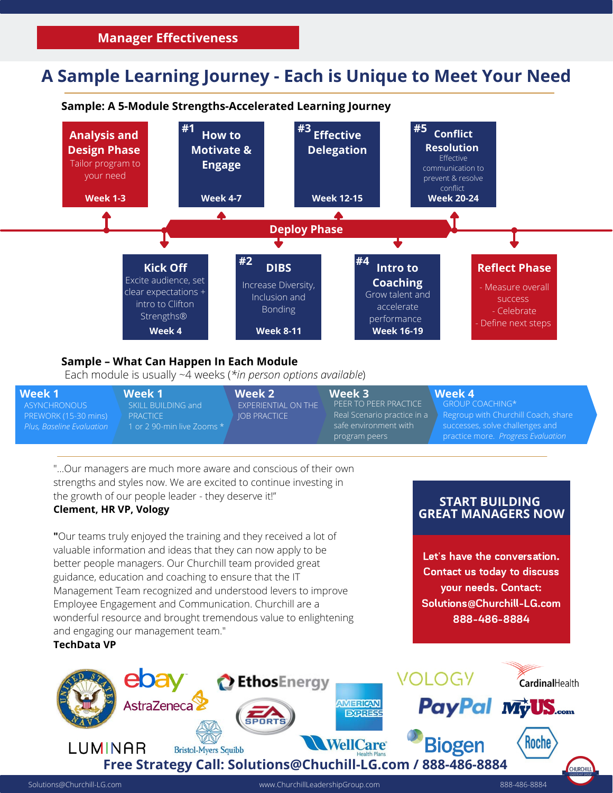# **A Sample Learning Journey - Each is Unique to Meet Your Need**



| Week 1                    | Week 1                       | Week 2                     | Week 3                | Week 4                                                                 |
|---------------------------|------------------------------|----------------------------|-----------------------|------------------------------------------------------------------------|
| ASYNCHRONOUS              | SKILL BUILDING and           | <b>EXPERIENTIAL ON THE</b> | PFFR TO PFFR PRACTICF | $GROUP COACHING*$                                                      |
| PREWORK (15-30 mins)      | <b>PRACTICE</b>              | <b>IOB PRACTICE</b>        |                       | l Real Scenario practice in a lack Regroup with Churchill Coach, share |
| Plus, Baseline Evaluation | 1 or 2 90-min live Zooms $*$ |                            | safe environment with | successes, solve challenges and                                        |
|                           |                              |                            | program peers         | practice more. Progress Evaluation                                     |

"...Our managers are much more aware and conscious of their own strengths and styles now. We are excited to continue investing in the growth of our people leader - they deserve it!"

### **Clement, HR VP, Vology**

**"**Our teams truly enjoyed the training and they received a lot of valuable information and ideas that they can now apply to be better people managers. Our Churchill team provided great guidance, education and coaching to ensure that the IT Management Team recognized and understood levers to improve Employee Engagement and Communication. Churchill are a wonderful resource and brought tremendous value to enlightening and engaging our management team."

### **TechData VP**

### **START BUILDING GREAT MANAGERS NOW**

Let's have the conversation. Contact us today to discuss your needs. Contact: Solutions@Churchill-LG.com 888-486-8884